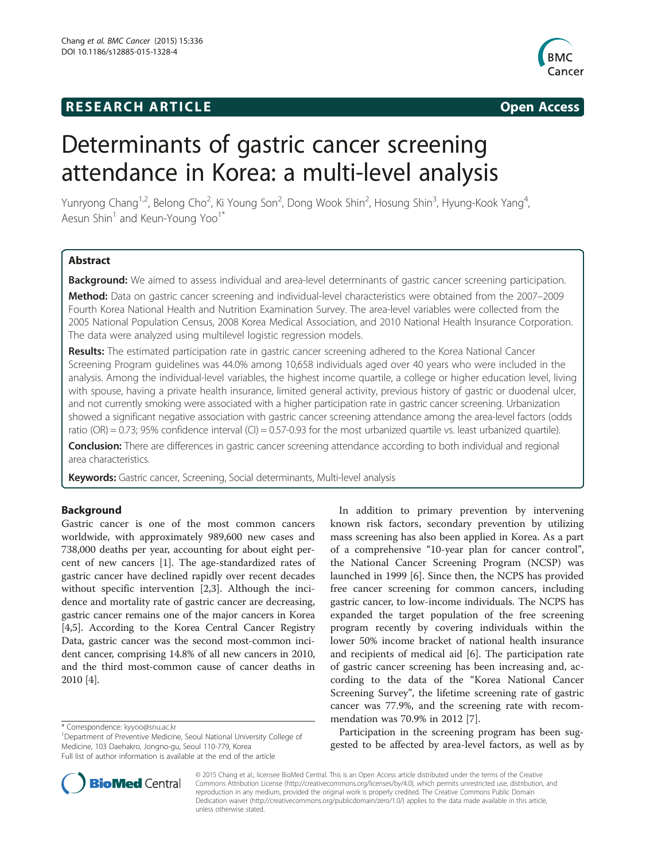# **RESEARCH ARTICLE Example 2014 CONSIDERING CONSIDERING CONSIDERING CONSIDERING CONSIDERING CONSIDERING CONSIDERING CONSIDERING CONSIDERING CONSIDERING CONSIDERING CONSIDERING CONSIDERING CONSIDERING CONSIDERING CONSIDE**



# Determinants of gastric cancer screening attendance in Korea: a multi-level analysis

Yunryong Chang<sup>1,2</sup>, Belong Cho<sup>2</sup>, Ki Young Son<sup>2</sup>, Dong Wook Shin<sup>2</sup>, Hosung Shin<sup>3</sup>, Hyung-Kook Yang<sup>4</sup> , Aesun Shin<sup>1</sup> and Keun-Young Yoo<sup>1\*</sup>

# Abstract

Background: We aimed to assess individual and area-level determinants of gastric cancer screening participation.

Method: Data on gastric cancer screening and individual-level characteristics were obtained from the 2007–2009 Fourth Korea National Health and Nutrition Examination Survey. The area-level variables were collected from the 2005 National Population Census, 2008 Korea Medical Association, and 2010 National Health Insurance Corporation. The data were analyzed using multilevel logistic regression models.

Results: The estimated participation rate in gastric cancer screening adhered to the Korea National Cancer Screening Program guidelines was 44.0% among 10,658 individuals aged over 40 years who were included in the analysis. Among the individual-level variables, the highest income quartile, a college or higher education level, living with spouse, having a private health insurance, limited general activity, previous history of gastric or duodenal ulcer, and not currently smoking were associated with a higher participation rate in gastric cancer screening. Urbanization showed a significant negative association with gastric cancer screening attendance among the area-level factors (odds ratio (OR) = 0.73; 95% confidence interval (CI) = 0.57-0.93 for the most urbanized quartile vs. least urbanized quartile).

**Conclusion:** There are differences in gastric cancer screening attendance according to both individual and regional area characteristics.

Keywords: Gastric cancer, Screening, Social determinants, Multi-level analysis

## Background

Gastric cancer is one of the most common cancers worldwide, with approximately 989,600 new cases and 738,000 deaths per year, accounting for about eight percent of new cancers [\[1](#page-6-0)]. The age-standardized rates of gastric cancer have declined rapidly over recent decades without specific intervention [[2,3\]](#page-6-0). Although the incidence and mortality rate of gastric cancer are decreasing, gastric cancer remains one of the major cancers in Korea [[4,5](#page-6-0)]. According to the Korea Central Cancer Registry Data, gastric cancer was the second most-common incident cancer, comprising 14.8% of all new cancers in 2010, and the third most-common cause of cancer deaths in 2010 [[4](#page-6-0)].

In addition to primary prevention by intervening known risk factors, secondary prevention by utilizing mass screening has also been applied in Korea. As a part of a comprehensive "10-year plan for cancer control", the National Cancer Screening Program (NCSP) was launched in 1999 [\[6](#page-6-0)]. Since then, the NCPS has provided free cancer screening for common cancers, including gastric cancer, to low-income individuals. The NCPS has expanded the target population of the free screening program recently by covering individuals within the lower 50% income bracket of national health insurance and recipients of medical aid [\[6](#page-6-0)]. The participation rate of gastric cancer screening has been increasing and, according to the data of the "Korea National Cancer Screening Survey", the lifetime screening rate of gastric cancer was 77.9%, and the screening rate with recommendation was 70.9% in 2012 [[7\]](#page-6-0).

Participation in the screening program has been suggested to be affected by area-level factors, as well as by



© 2015 Chang et al.; licensee BioMed Central. This is an Open Access article distributed under the terms of the Creative Commons Attribution License [\(http://creativecommons.org/licenses/by/4.0\)](http://creativecommons.org/licenses/by/4.0), which permits unrestricted use, distribution, and reproduction in any medium, provided the original work is properly credited. The Creative Commons Public Domain Dedication waiver [\(http://creativecommons.org/publicdomain/zero/1.0/](http://creativecommons.org/publicdomain/zero/1.0/)) applies to the data made available in this article, unless otherwise stated.

<sup>\*</sup> Correspondence: [kyyoo@snu.ac.kr](mailto:kyyoo@snu.ac.kr) <sup>1</sup>

<sup>&</sup>lt;sup>1</sup>Department of Preventive Medicine, Seoul National University College of Medicine, 103 Daehakro, Jongno-gu, Seoul 110-779, Korea Full list of author information is available at the end of the article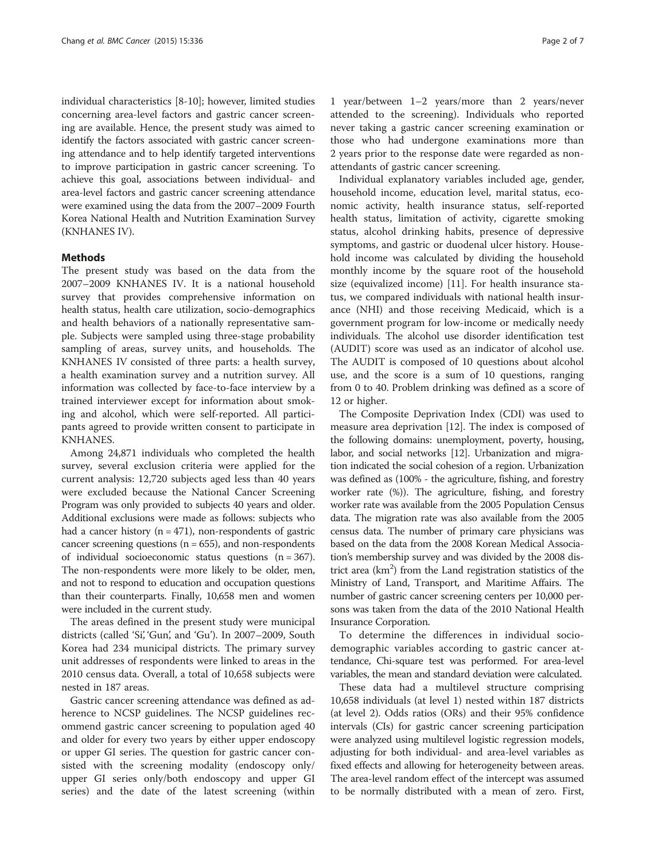individual characteristics [[8-10\]](#page-6-0); however, limited studies concerning area-level factors and gastric cancer screening are available. Hence, the present study was aimed to identify the factors associated with gastric cancer screening attendance and to help identify targeted interventions to improve participation in gastric cancer screening. To achieve this goal, associations between individual- and area-level factors and gastric cancer screening attendance were examined using the data from the 2007–2009 Fourth Korea National Health and Nutrition Examination Survey (KNHANES IV).

#### Methods

The present study was based on the data from the 2007–2009 KNHANES IV. It is a national household survey that provides comprehensive information on health status, health care utilization, socio-demographics and health behaviors of a nationally representative sample. Subjects were sampled using three-stage probability sampling of areas, survey units, and households. The KNHANES IV consisted of three parts: a health survey, a health examination survey and a nutrition survey. All information was collected by face-to-face interview by a trained interviewer except for information about smoking and alcohol, which were self-reported. All participants agreed to provide written consent to participate in KNHANES.

Among 24,871 individuals who completed the health survey, several exclusion criteria were applied for the current analysis: 12,720 subjects aged less than 40 years were excluded because the National Cancer Screening Program was only provided to subjects 40 years and older. Additional exclusions were made as follows: subjects who had a cancer history ( $n = 471$ ), non-respondents of gastric cancer screening questions ( $n = 655$ ), and non-respondents of individual socioeconomic status questions (n = 367). The non-respondents were more likely to be older, men, and not to respond to education and occupation questions than their counterparts. Finally, 10,658 men and women were included in the current study.

The areas defined in the present study were municipal districts (called 'Si', 'Gun', and 'Gu'). In 2007–2009, South Korea had 234 municipal districts. The primary survey unit addresses of respondents were linked to areas in the 2010 census data. Overall, a total of 10,658 subjects were nested in 187 areas.

Gastric cancer screening attendance was defined as adherence to NCSP guidelines. The NCSP guidelines recommend gastric cancer screening to population aged 40 and older for every two years by either upper endoscopy or upper GI series. The question for gastric cancer consisted with the screening modality (endoscopy only/ upper GI series only/both endoscopy and upper GI series) and the date of the latest screening (within

1 year/between 1–2 years/more than 2 years/never attended to the screening). Individuals who reported never taking a gastric cancer screening examination or those who had undergone examinations more than 2 years prior to the response date were regarded as nonattendants of gastric cancer screening.

Individual explanatory variables included age, gender, household income, education level, marital status, economic activity, health insurance status, self-reported health status, limitation of activity, cigarette smoking status, alcohol drinking habits, presence of depressive symptoms, and gastric or duodenal ulcer history. Household income was calculated by dividing the household monthly income by the square root of the household size (equivalized income) [[11](#page-6-0)]. For health insurance status, we compared individuals with national health insurance (NHI) and those receiving Medicaid, which is a government program for low-income or medically needy individuals. The alcohol use disorder identification test (AUDIT) score was used as an indicator of alcohol use. The AUDIT is composed of 10 questions about alcohol use, and the score is a sum of 10 questions, ranging from 0 to 40. Problem drinking was defined as a score of 12 or higher.

The Composite Deprivation Index (CDI) was used to measure area deprivation [\[12\]](#page-6-0). The index is composed of the following domains: unemployment, poverty, housing, labor, and social networks [[12](#page-6-0)]. Urbanization and migration indicated the social cohesion of a region. Urbanization was defined as (100% - the agriculture, fishing, and forestry worker rate (%)). The agriculture, fishing, and forestry worker rate was available from the 2005 Population Census data. The migration rate was also available from the 2005 census data. The number of primary care physicians was based on the data from the 2008 Korean Medical Association's membership survey and was divided by the 2008 district area  $(km<sup>2</sup>)$  from the Land registration statistics of the Ministry of Land, Transport, and Maritime Affairs. The number of gastric cancer screening centers per 10,000 persons was taken from the data of the 2010 National Health Insurance Corporation.

To determine the differences in individual sociodemographic variables according to gastric cancer attendance, Chi-square test was performed. For area-level variables, the mean and standard deviation were calculated.

These data had a multilevel structure comprising 10,658 individuals (at level 1) nested within 187 districts (at level 2). Odds ratios (ORs) and their 95% confidence intervals (CIs) for gastric cancer screening participation were analyzed using multilevel logistic regression models, adjusting for both individual- and area-level variables as fixed effects and allowing for heterogeneity between areas. The area-level random effect of the intercept was assumed to be normally distributed with a mean of zero. First,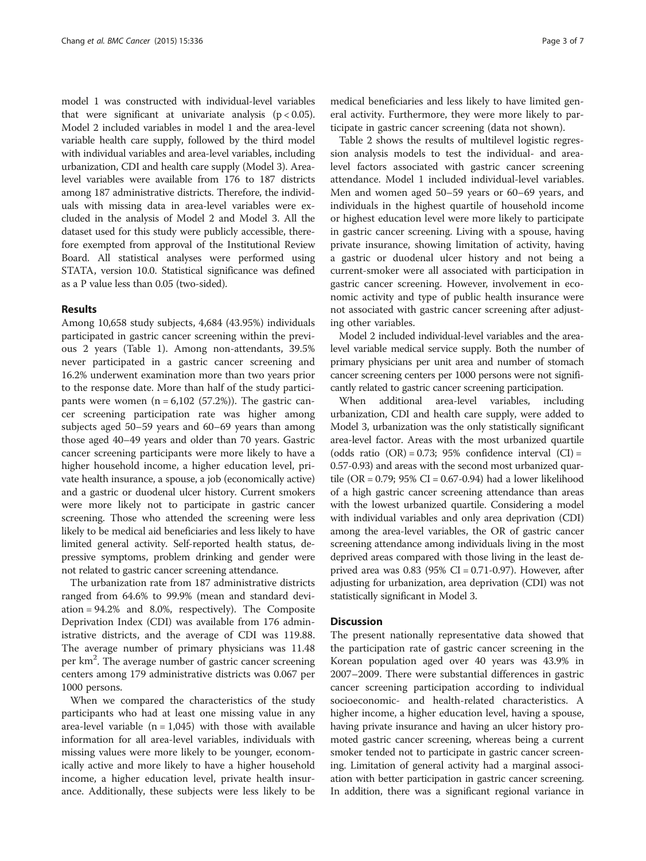model 1 was constructed with individual-level variables that were significant at univariate analysis  $(p < 0.05)$ . Model 2 included variables in model 1 and the area-level variable health care supply, followed by the third model with individual variables and area-level variables, including urbanization, CDI and health care supply (Model 3). Arealevel variables were available from 176 to 187 districts among 187 administrative districts. Therefore, the individuals with missing data in area-level variables were excluded in the analysis of Model 2 and Model 3. All the dataset used for this study were publicly accessible, therefore exempted from approval of the Institutional Review Board. All statistical analyses were performed using STATA, version 10.0. Statistical significance was defined as a P value less than 0.05 (two-sided).

#### Results

Among 10,658 study subjects, 4,684 (43.95%) individuals participated in gastric cancer screening within the previous 2 years (Table [1](#page-3-0)). Among non-attendants, 39.5% never participated in a gastric cancer screening and 16.2% underwent examination more than two years prior to the response date. More than half of the study participants were women  $(n = 6,102 (57.2%)$ . The gastric cancer screening participation rate was higher among subjects aged 50–59 years and 60–69 years than among those aged 40–49 years and older than 70 years. Gastric cancer screening participants were more likely to have a higher household income, a higher education level, private health insurance, a spouse, a job (economically active) and a gastric or duodenal ulcer history. Current smokers were more likely not to participate in gastric cancer screening. Those who attended the screening were less likely to be medical aid beneficiaries and less likely to have limited general activity. Self-reported health status, depressive symptoms, problem drinking and gender were not related to gastric cancer screening attendance.

The urbanization rate from 187 administrative districts ranged from 64.6% to 99.9% (mean and standard deviation = 94.2% and 8.0%, respectively). The Composite Deprivation Index (CDI) was available from 176 administrative districts, and the average of CDI was 119.88. The average number of primary physicians was 11.48 per km<sup>2</sup>. The average number of gastric cancer screening centers among 179 administrative districts was 0.067 per 1000 persons.

When we compared the characteristics of the study participants who had at least one missing value in any area-level variable  $(n = 1,045)$  with those with available information for all area-level variables, individuals with missing values were more likely to be younger, economically active and more likely to have a higher household income, a higher education level, private health insurance. Additionally, these subjects were less likely to be medical beneficiaries and less likely to have limited general activity. Furthermore, they were more likely to participate in gastric cancer screening (data not shown).

Table [2](#page-4-0) shows the results of multilevel logistic regression analysis models to test the individual- and arealevel factors associated with gastric cancer screening attendance. Model 1 included individual-level variables. Men and women aged 50–59 years or 60–69 years, and individuals in the highest quartile of household income or highest education level were more likely to participate in gastric cancer screening. Living with a spouse, having private insurance, showing limitation of activity, having a gastric or duodenal ulcer history and not being a current-smoker were all associated with participation in gastric cancer screening. However, involvement in economic activity and type of public health insurance were not associated with gastric cancer screening after adjusting other variables.

Model 2 included individual-level variables and the arealevel variable medical service supply. Both the number of primary physicians per unit area and number of stomach cancer screening centers per 1000 persons were not significantly related to gastric cancer screening participation.

When additional area-level variables, including urbanization, CDI and health care supply, were added to Model 3, urbanization was the only statistically significant area-level factor. Areas with the most urbanized quartile (odds ratio  $(OR) = 0.73$ ; 95% confidence interval  $(Cl) =$ 0.57-0.93) and areas with the second most urbanized quartile (OR = 0.79;  $95\%$  CI = 0.67-0.94) had a lower likelihood of a high gastric cancer screening attendance than areas with the lowest urbanized quartile. Considering a model with individual variables and only area deprivation (CDI) among the area-level variables, the OR of gastric cancer screening attendance among individuals living in the most deprived areas compared with those living in the least deprived area was  $0.83$  (95% CI = 0.71-0.97). However, after adjusting for urbanization, area deprivation (CDI) was not statistically significant in Model 3.

#### **Discussion**

The present nationally representative data showed that the participation rate of gastric cancer screening in the Korean population aged over 40 years was 43.9% in 2007–2009. There were substantial differences in gastric cancer screening participation according to individual socioeconomic- and health-related characteristics. A higher income, a higher education level, having a spouse, having private insurance and having an ulcer history promoted gastric cancer screening, whereas being a current smoker tended not to participate in gastric cancer screening. Limitation of general activity had a marginal association with better participation in gastric cancer screening. In addition, there was a significant regional variance in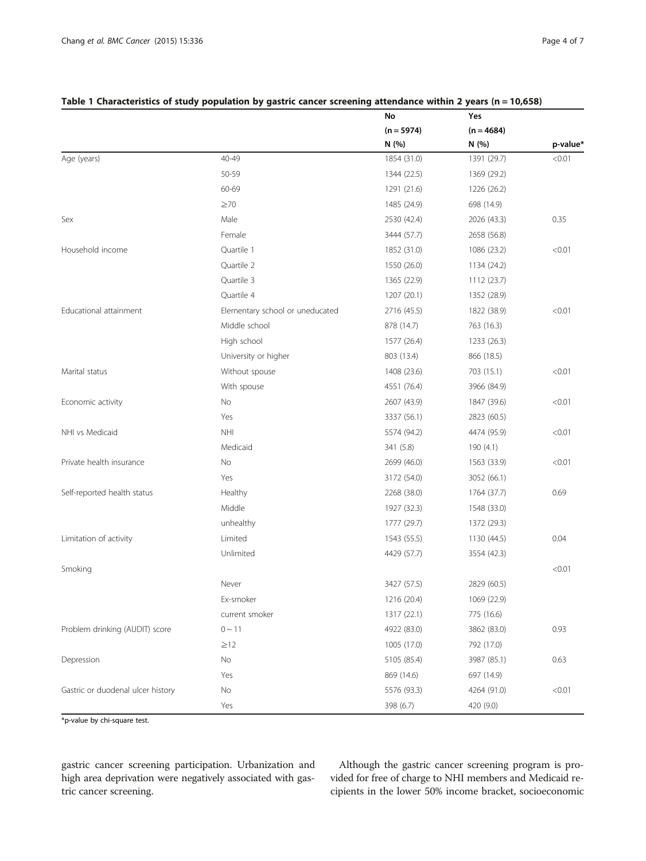|                                   |                                 | No<br>$(n = 5974)$<br>N (%) | Yes<br>$(n = 4684)$<br>N(%) |          |
|-----------------------------------|---------------------------------|-----------------------------|-----------------------------|----------|
|                                   |                                 |                             |                             | p-value* |
|                                   |                                 |                             |                             |          |
| Age (years)                       | 40-49                           | 1854 (31.0)                 | 1391 (29.7)                 | < 0.01   |
|                                   | 50-59                           | 1344 (22.5)                 | 1369 (29.2)                 |          |
|                                   | 60-69                           | 1291 (21.6)                 | 1226 (26.2)                 |          |
|                                   | $\geq 70$                       | 1485 (24.9)                 | 698 (14.9)                  |          |
| Sex                               | Male                            | 2530 (42.4)                 | 2026 (43.3)                 | 0.35     |
|                                   | Female                          | 3444 (57.7)                 | 2658 (56.8)                 |          |
| Household income                  | Ouartile 1                      | 1852 (31.0)                 | 1086 (23.2)                 | < 0.01   |
|                                   | Quartile 2                      | 1550 (26.0)                 | 1134 (24.2)                 |          |
|                                   | Quartile 3                      | 1365 (22.9)                 | 1112 (23.7)                 |          |
|                                   | Quartile 4                      | 1207 (20.1)                 | 1352 (28.9)                 |          |
| Educational attainment            | Elementary school or uneducated | 2716 (45.5)                 | 1822 (38.9)                 | < 0.01   |
|                                   | Middle school                   | 878 (14.7)                  | 763 (16.3)                  |          |
|                                   | High school                     | 1577 (26.4)                 | 1233 (26.3)                 |          |
|                                   | University or higher            | 803 (13.4)                  | 866 (18.5)                  |          |
| Marital status                    | Without spouse                  | 1408 (23.6)                 | 703 (15.1)                  | < 0.01   |
|                                   | With spouse                     | 4551 (76.4)                 | 3966 (84.9)                 |          |
| Economic activity                 | No                              | 2607 (43.9)                 | 1847 (39.6)                 | < 0.01   |
|                                   | Yes                             | 3337 (56.1)                 | 2823 (60.5)                 |          |
| NHI vs Medicaid                   | <b>NHI</b>                      | 5574 (94.2)                 | 4474 (95.9)                 | < 0.01   |
|                                   | Medicaid                        | 341 (5.8)                   | 190(4.1)                    |          |
| Private health insurance          | No                              | 2699 (46.0)                 | 1563 (33.9)                 | < 0.01   |
|                                   | Yes                             | 3172 (54.0)                 | 3052 (66.1)                 |          |
| Self-reported health status       | Healthy                         | 2268 (38.0)                 | 1764 (37.7)                 | 0.69     |
|                                   | Middle                          | 1927 (32.3)                 | 1548 (33.0)                 |          |
|                                   | unhealthy                       | 1777 (29.7)                 | 1372 (29.3)                 |          |
| Limitation of activity            | Limited                         | 1543 (55.5)                 | 1130 (44.5)                 | 0.04     |
|                                   | Unlimited                       | 4429 (57.7)                 | 3554 (42.3)                 |          |
| Smoking                           |                                 |                             |                             | < 0.01   |
|                                   | Never                           | 3427 (57.5)                 | 2829 (60.5)                 |          |
|                                   | Ex-smoker                       | 1216 (20.4)                 | 1069 (22.9)                 |          |
|                                   | current smoker                  | 1317 (22.1)                 | 775 (16.6)                  |          |
| Problem drinking (AUDIT) score    | $0 \sim 11$                     | 4922 (83.0)                 | 3862 (83.0)                 | 0.93     |
|                                   | $\geq$ 12                       | 1005 (17.0)                 | 792 (17.0)                  |          |
| Depression                        | No                              | 5105 (85.4)                 | 3987 (85.1)                 | 0.63     |
|                                   | Yes                             | 869 (14.6)                  | 697 (14.9)                  |          |
| Gastric or duodenal ulcer history | No                              | 5576 (93.3)                 | 4264 (91.0)                 | < 0.01   |
|                                   | Yes                             | 398 (6.7)                   | 420 (9.0)                   |          |

### <span id="page-3-0"></span>Table 1 Characteristics of study population by gastric cancer screening attendance within 2 years (n = 10,658)

\*p-value by chi-square test.

gastric cancer screening participation. Urbanization and high area deprivation were negatively associated with gastric cancer screening.

Although the gastric cancer screening program is provided for free of charge to NHI members and Medicaid recipients in the lower 50% income bracket, socioeconomic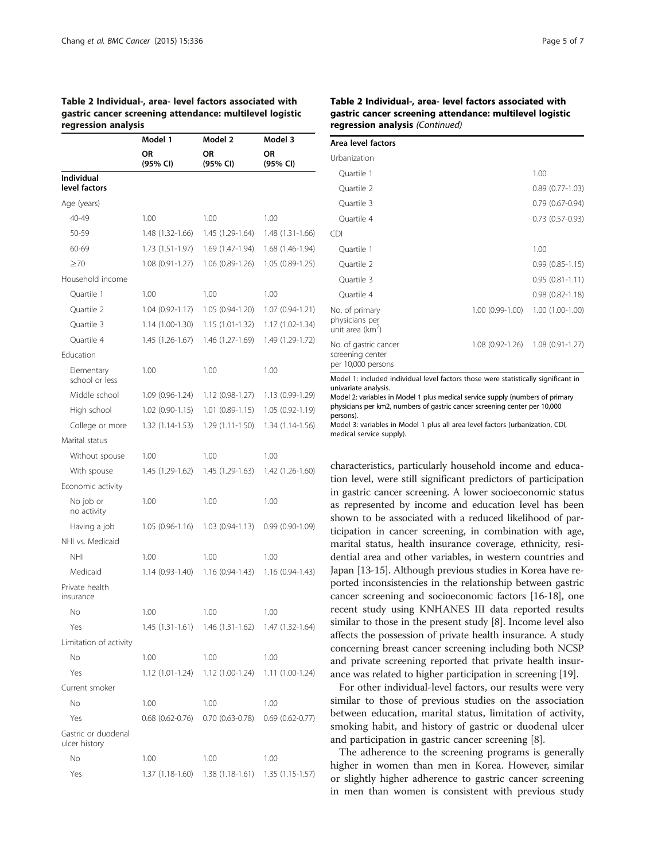#### <span id="page-4-0"></span>Table 2 Individual-, area- level factors associated with gastric cancer screening attendance: multilevel logistic regression analysis

|                                      | Model 1                | Model 2                             | Model 3             |
|--------------------------------------|------------------------|-------------------------------------|---------------------|
|                                      | ΟR<br>(95% CI)         | ΟR<br>(95% CI)                      | ΟR<br>(95% CI)      |
| Individual                           |                        |                                     |                     |
| level factors                        |                        |                                     |                     |
| Age (years)                          |                        |                                     |                     |
| 40-49                                | 1.00                   | 1.00                                | 1.00                |
| 50-59                                | 1.48 (1.32-1.66)       | 1.45 (1.29-1.64)                    | $1.48(1.31-1.66)$   |
| 60-69                                | 1.73 (1.51-1.97)       | 1.69 (1.47-1.94)                    | 1.68 (1.46-1.94)    |
| $\geq 70$                            | $1.08(0.91 - 1.27)$    | $1.06(0.89-1.26)$                   | $1.05(0.89-1.25)$   |
| Household income                     |                        |                                     |                     |
| Quartile 1                           | 1.00                   | 1.00                                | 1.00                |
| Quartile 2                           | $1.04(0.92 - 1.17)$    | $1.05(0.94-1.20)$                   | $1.07(0.94-1.21)$   |
| Quartile 3                           | $1.14(1.00-1.30)$      | 1.15 (1.01-1.32)                    | $1.17(1.02-1.34)$   |
| Quartile 4                           | 1.45 (1.26-1.67)       | 1.46 (1.27-1.69)                    | 1.49 (1.29-1.72)    |
| Education                            |                        |                                     |                     |
| Elementary<br>school or less         | 1.00                   | 1.00                                | 1.00                |
| Middle school                        | 1.09 (0.96-1.24)       | $1.12(0.98-1.27)$                   | $1.13(0.99-1.29)$   |
| High school                          | $1.02(0.90-1.15)$      | $1.01(0.89-1.15)$                   | $1.05(0.92 - 1.19)$ |
| College or more                      | 1.32 (1.14-1.53)       | $1.29(1.11-1.50)$                   | 1.34 (1.14-1.56)    |
| Marital status                       |                        |                                     |                     |
| Without spouse                       | 1.00                   | 1.00                                | 1.00                |
| With spouse                          | 1.45 (1.29-1.62)       | 1.45 (1.29-1.63)                    | 1.42 (1.26-1.60)    |
| Economic activity                    |                        |                                     |                     |
| No job or<br>no activity             | 1.00                   | 1.00                                | 1.00                |
| Having a job                         | $1.05(0.96-1.16)$      | $1.03(0.94-1.13)$                   | $0.99(0.90-1.09)$   |
| NHI vs. Medicaid                     |                        |                                     |                     |
| NHI                                  | 1.00                   | 1.00                                | 1.00                |
| Medicaid                             | 1.14 (0.93-1.40)       | $1.16(0.94-1.43)$                   | $1.16(0.94-1.43)$   |
| Private health<br>insurance          |                        |                                     |                     |
| No.                                  | 1.00                   | 1.00                                | 1.00                |
| Yes                                  | 1.45 (1.31-1.61)       | $1.46(1.31-1.62)$ $1.47(1.32-1.64)$ |                     |
| Limitation of activity               |                        |                                     |                     |
| No                                   | 1.00                   | 1.00                                | 1.00                |
| Yes                                  | 1.12 (1.01-1.24)       | 1.12 (1.00-1.24)                    | $1.11(1.00-1.24)$   |
| Current smoker                       |                        |                                     |                     |
| No                                   | 1.00                   | 1.00                                | 1.00                |
| Yes                                  | $0.68$ $(0.62 - 0.76)$ | $0.70(0.63-0.78)$                   | $0.69(0.62 - 0.77)$ |
| Gastric or duodenal<br>ulcer history |                        |                                     |                     |
| No                                   | 1.00                   | 1.00                                | 1.00                |
| Yes                                  | 1.37 (1.18-1.60)       | $1.38(1.18-1.61)$                   | $1.35(1.15-1.57)$   |

| Area level factors                                              |                  |                        |
|-----------------------------------------------------------------|------------------|------------------------|
| Urbanization                                                    |                  |                        |
| Quartile 1                                                      |                  | 1.00                   |
| Quartile 2                                                      |                  | $0.89(0.77-1.03)$      |
| Ouartile 3                                                      |                  | $0.79(0.67 - 0.94)$    |
| Quartile 4                                                      |                  | $0.73$ $(0.57 - 0.93)$ |
| <b>CDI</b>                                                      |                  |                        |
| Ouartile 1                                                      |                  | 1.00                   |
| Quartile 2                                                      |                  | $0.99(0.85-1.15)$      |
| Ouartile 3                                                      |                  | $0.95(0.81 - 1.11)$    |
| Ouartile 4                                                      |                  | $0.98(0.82 - 1.18)$    |
| No. of primary<br>physicians per<br>unit area ( $km^2$ )        | 1.00 (0.99-1.00) | $1.00(1.00-1.00)$      |
| No. of gastric cancer<br>screening center<br>per 10,000 persons | 1.08 (0.92-1.26) | $1.08(0.91-1.27)$      |

Model 1: included individual level factors those were statistically significant in univariate analysis.

Model 2: variables in Model 1 plus medical service supply (numbers of primary physicians per km2, numbers of gastric cancer screening center per 10,000 persons).

Model 3: variables in Model 1 plus all area level factors (urbanization, CDI, medical service supply).

characteristics, particularly household income and education level, were still significant predictors of participation in gastric cancer screening. A lower socioeconomic status as represented by income and education level has been shown to be associated with a reduced likelihood of participation in cancer screening, in combination with age, marital status, health insurance coverage, ethnicity, residential area and other variables, in western countries and Japan [\[13-15](#page-6-0)]. Although previous studies in Korea have reported inconsistencies in the relationship between gastric cancer screening and socioeconomic factors [\[16-18\]](#page-6-0), one recent study using KNHANES III data reported results similar to those in the present study [\[8\]](#page-6-0). Income level also affects the possession of private health insurance. A study concerning breast cancer screening including both NCSP and private screening reported that private health insurance was related to higher participation in screening [[19](#page-6-0)].

For other individual-level factors, our results were very similar to those of previous studies on the association between education, marital status, limitation of activity, smoking habit, and history of gastric or duodenal ulcer and participation in gastric cancer screening [[8\]](#page-6-0).

The adherence to the screening programs is generally higher in women than men in Korea. However, similar or slightly higher adherence to gastric cancer screening in men than women is consistent with previous study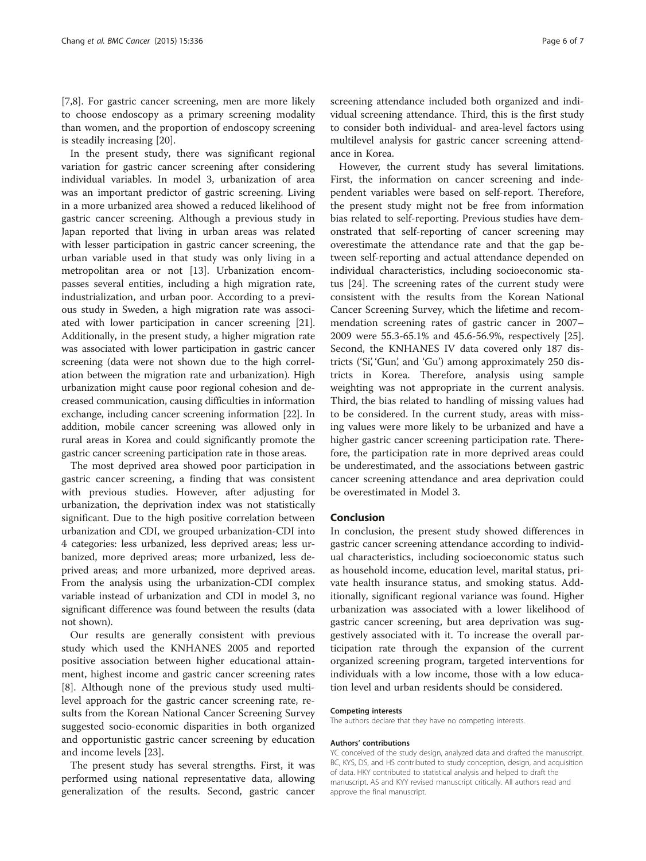[[7,8\]](#page-6-0). For gastric cancer screening, men are more likely to choose endoscopy as a primary screening modality than women, and the proportion of endoscopy screening is steadily increasing [[20\]](#page-6-0).

In the present study, there was significant regional variation for gastric cancer screening after considering individual variables. In model 3, urbanization of area was an important predictor of gastric screening. Living in a more urbanized area showed a reduced likelihood of gastric cancer screening. Although a previous study in Japan reported that living in urban areas was related with lesser participation in gastric cancer screening, the urban variable used in that study was only living in a metropolitan area or not [[13\]](#page-6-0). Urbanization encompasses several entities, including a high migration rate, industrialization, and urban poor. According to a previous study in Sweden, a high migration rate was associated with lower participation in cancer screening [[21](#page-6-0)]. Additionally, in the present study, a higher migration rate was associated with lower participation in gastric cancer screening (data were not shown due to the high correlation between the migration rate and urbanization). High urbanization might cause poor regional cohesion and decreased communication, causing difficulties in information exchange, including cancer screening information [\[22](#page-6-0)]. In addition, mobile cancer screening was allowed only in rural areas in Korea and could significantly promote the gastric cancer screening participation rate in those areas.

The most deprived area showed poor participation in gastric cancer screening, a finding that was consistent with previous studies. However, after adjusting for urbanization, the deprivation index was not statistically significant. Due to the high positive correlation between urbanization and CDI, we grouped urbanization-CDI into 4 categories: less urbanized, less deprived areas; less urbanized, more deprived areas; more urbanized, less deprived areas; and more urbanized, more deprived areas. From the analysis using the urbanization-CDI complex variable instead of urbanization and CDI in model 3, no significant difference was found between the results (data not shown).

Our results are generally consistent with previous study which used the KNHANES 2005 and reported positive association between higher educational attainment, highest income and gastric cancer screening rates [[8\]](#page-6-0). Although none of the previous study used multilevel approach for the gastric cancer screening rate, results from the Korean National Cancer Screening Survey suggested socio-economic disparities in both organized and opportunistic gastric cancer screening by education and income levels [\[23\]](#page-6-0).

The present study has several strengths. First, it was performed using national representative data, allowing generalization of the results. Second, gastric cancer

screening attendance included both organized and individual screening attendance. Third, this is the first study to consider both individual- and area-level factors using multilevel analysis for gastric cancer screening attendance in Korea.

However, the current study has several limitations. First, the information on cancer screening and independent variables were based on self-report. Therefore, the present study might not be free from information bias related to self-reporting. Previous studies have demonstrated that self-reporting of cancer screening may overestimate the attendance rate and that the gap between self-reporting and actual attendance depended on individual characteristics, including socioeconomic status [\[24](#page-6-0)]. The screening rates of the current study were consistent with the results from the Korean National Cancer Screening Survey, which the lifetime and recommendation screening rates of gastric cancer in 2007– 2009 were 55.3-65.1% and 45.6-56.9%, respectively [\[25](#page-6-0)]. Second, the KNHANES IV data covered only 187 districts ('Si', 'Gun', and 'Gu') among approximately 250 districts in Korea. Therefore, analysis using sample weighting was not appropriate in the current analysis. Third, the bias related to handling of missing values had to be considered. In the current study, areas with missing values were more likely to be urbanized and have a higher gastric cancer screening participation rate. Therefore, the participation rate in more deprived areas could be underestimated, and the associations between gastric cancer screening attendance and area deprivation could be overestimated in Model 3.

#### Conclusion

In conclusion, the present study showed differences in gastric cancer screening attendance according to individual characteristics, including socioeconomic status such as household income, education level, marital status, private health insurance status, and smoking status. Additionally, significant regional variance was found. Higher urbanization was associated with a lower likelihood of gastric cancer screening, but area deprivation was suggestively associated with it. To increase the overall participation rate through the expansion of the current organized screening program, targeted interventions for individuals with a low income, those with a low education level and urban residents should be considered.

#### Competing interests

The authors declare that they have no competing interests.

#### Authors' contributions

YC conceived of the study design, analyzed data and drafted the manuscript. BC, KYS, DS, and HS contributed to study conception, design, and acquisition of data. HKY contributed to statistical analysis and helped to draft the manuscript. AS and KYY revised manuscript critically. All authors read and approve the final manuscript.